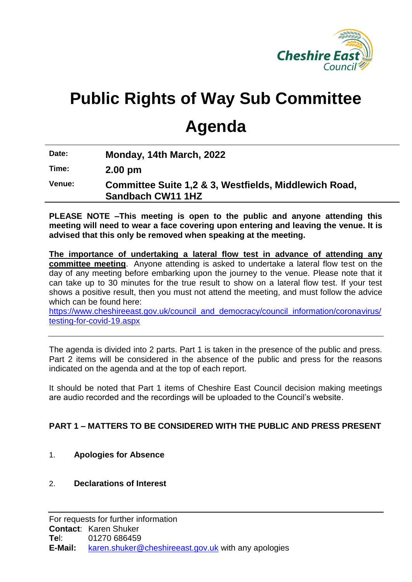

# **Public Rights of Way Sub Committee**

# **Agenda**

**Date: Monday, 14th March, 2022**

**Time: 2.00 pm**

**Venue: Committee Suite 1,2 & 3, Westfields, Middlewich Road, Sandbach CW11 1HZ**

**PLEASE NOTE –This meeting is open to the public and anyone attending this meeting will need to wear a face covering upon entering and leaving the venue. It is advised that this only be removed when speaking at the meeting.**

**The importance of undertaking a lateral flow test in advance of attending any committee meeting**. Anyone attending is asked to undertake a lateral flow test on the day of any meeting before embarking upon the journey to the venue. Please note that it can take up to 30 minutes for the true result to show on a lateral flow test. If your test shows a positive result, then you must not attend the meeting, and must follow the advice which can be found here:

[https://www.cheshireeast.gov.uk/council\\_and\\_democracy/council\\_information/coronavirus/](https://www.cheshireeast.gov.uk/council_and_democracy/council_information/coronavirus/testing-for-covid-19.aspx) [testing-for-covid-19.aspx](https://www.cheshireeast.gov.uk/council_and_democracy/council_information/coronavirus/testing-for-covid-19.aspx)

The agenda is divided into 2 parts. Part 1 is taken in the presence of the public and press. Part 2 items will be considered in the absence of the public and press for the reasons indicated on the agenda and at the top of each report.

It should be noted that Part 1 items of Cheshire East Council decision making meetings are audio recorded and the recordings will be uploaded to the Council's website.

# **PART 1 – MATTERS TO BE CONSIDERED WITH THE PUBLIC AND PRESS PRESENT**

# 1. **Apologies for Absence**

### 2. **Declarations of Interest**